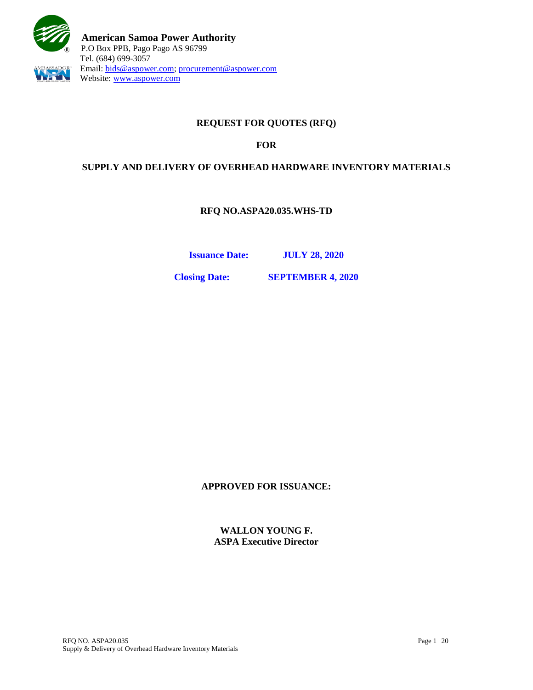

# **REQUEST FOR QUOTES (RFQ)**

### **FOR**

# **SUPPLY AND DELIVERY OF OVERHEAD HARDWARE INVENTORY MATERIALS**

**RFQ NO.ASPA20.035.WHS-TD**

**Issuance Date: JULY 28, 2020**

**Closing Date: SEPTEMBER 4, 2020**

**APPROVED FOR ISSUANCE:**

**WALLON YOUNG F. ASPA Executive Director**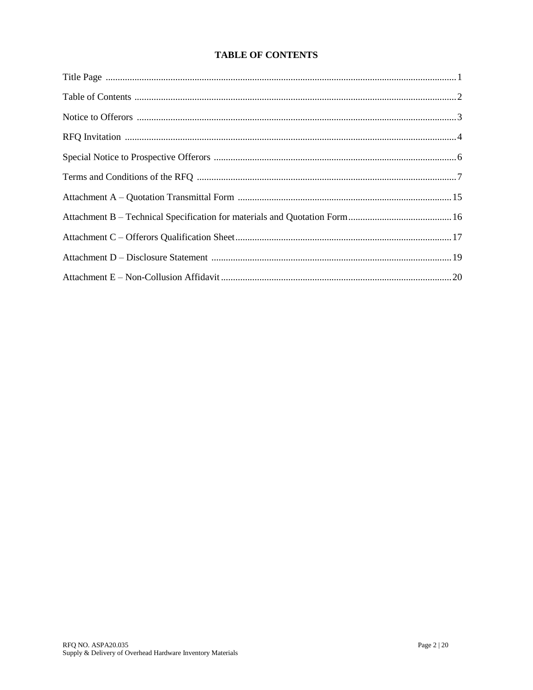# **TABLE OF CONTENTS**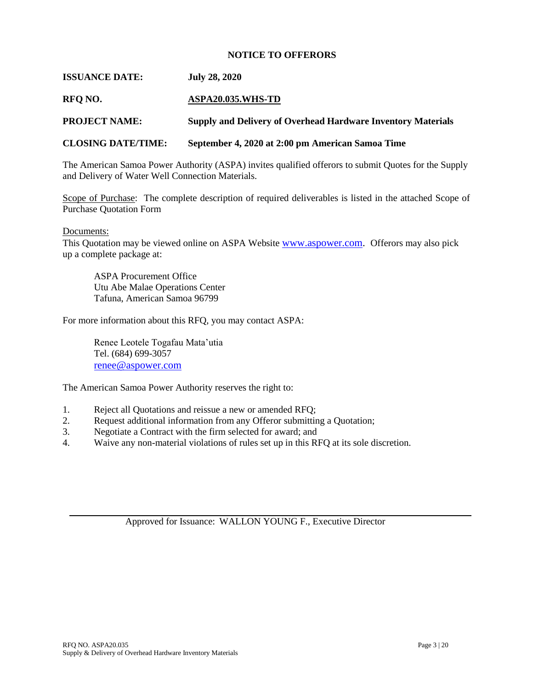#### **NOTICE TO OFFERORS**

#### **ISSUANCE DATE: July 28, 2020**

#### **RFQ NO. ASPA20.035.WHS-TD**

**PROJECT NAME: Supply and Delivery of Overhead Hardware Inventory Materials**

#### **CLOSING DATE/TIME: September 4, 2020 at 2:00 pm American Samoa Time**

The American Samoa Power Authority (ASPA) invites qualified offerors to submit Quotes for the Supply and Delivery of Water Well Connection Materials.

Scope of Purchase: The complete description of required deliverables is listed in the attached Scope of Purchase Quotation Form

Documents:

This Quotation may be viewed online on ASPA Website [www.aspower.com.](http://www.aspower.com/) Offerors may also pick up a complete package at:

ASPA Procurement Office Utu Abe Malae Operations Center Tafuna, American Samoa 96799

For more information about this RFQ, you may contact ASPA:

Renee Leotele Togafau Mata'utia Tel. (684) 699-3057 [renee@aspower.com](mailto:renee@aspower.com)

The American Samoa Power Authority reserves the right to:

- 1. Reject all Quotations and reissue a new or amended RFQ;
- 2. Request additional information from any Offeror submitting a Quotation;
- 3. Negotiate a Contract with the firm selected for award; and
- 4. Waive any non-material violations of rules set up in this RFQ at its sole discretion.

Approved for Issuance: WALLON YOUNG F., Executive Director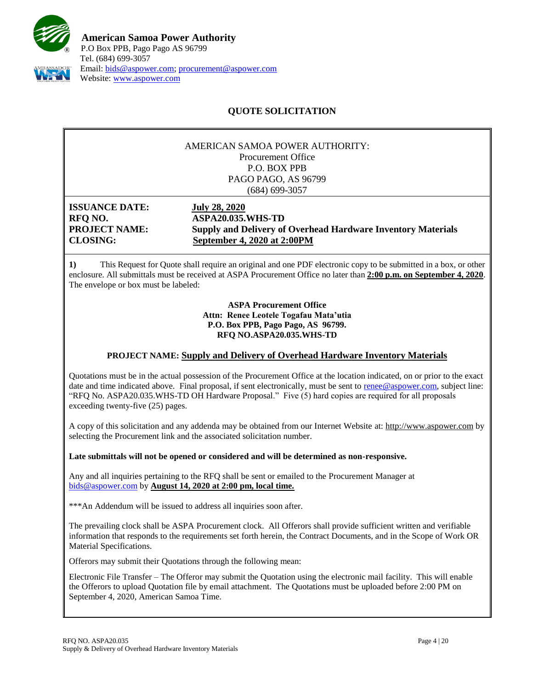

# **QUOTE SOLICITATION**

#### AMERICAN SAMOA POWER AUTHORITY: Procurement Office P.O. BOX PPB PAGO PAGO, AS 96799 (684) 699-3057

**ISSUANCE DATE: July 28, 2020**

**RFQ NO. ASPA20.035.WHS-TD PROJECT NAME: Supply and Delivery of Overhead Hardware Inventory Materials CLOSING: September 4, 2020 at 2:00PM**

**1)** This Request for Quote shall require an original and one PDF electronic copy to be submitted in a box, or other enclosure. All submittals must be received at ASPA Procurement Office no later than **2:00 p.m. on September 4, 2020**. The envelope or box must be labeled:

> **ASPA Procurement Office Attn: Renee Leotele Togafau Mata'utia P.O. Box PPB, Pago Pago, AS 96799. RFQ NO.ASPA20.035.WHS-TD**

#### **PROJECT NAME: Supply and Delivery of Overhead Hardware Inventory Materials**

Quotations must be in the actual possession of the Procurement Office at the location indicated, on or prior to the exact date and time indicated above. Final proposal, if sent electronically, must be sent to [renee@aspower.com,](mailto:renee@aspower.com) subject line: "RFQ No. ASPA20.035.WHS-TD OH Hardware Proposal." Five (5) hard copies are required for all proposals exceeding twenty-five (25) pages.

A copy of this solicitation and any addenda may be obtained from our Internet Website at: [http://www.aspower.com](http://www.aspower.com/) by selecting the Procurement link and the associated solicitation number.

**Late submittals will not be opened or considered and will be determined as non-responsive.**

Any and all inquiries pertaining to the RFQ shall be sent or emailed to the Procurement Manager at [bids@aspower.com](mailto:bids@aspower.com) by **August 14, 2020 at 2:00 pm, local time.**

\*\*\*An Addendum will be issued to address all inquiries soon after.

The prevailing clock shall be ASPA Procurement clock. All Offerors shall provide sufficient written and verifiable information that responds to the requirements set forth herein, the Contract Documents, and in the Scope of Work OR Material Specifications.

**2)** Offerors may submit their Quotations through the following mean:

Electronic File Transfer – The Offeror may submit the Quotation using the electronic mail facility. This will enable the Offerors to upload Quotation file by email attachment. The Quotations must be uploaded before 2:00 PM on September 4, 2020, American Samoa Time.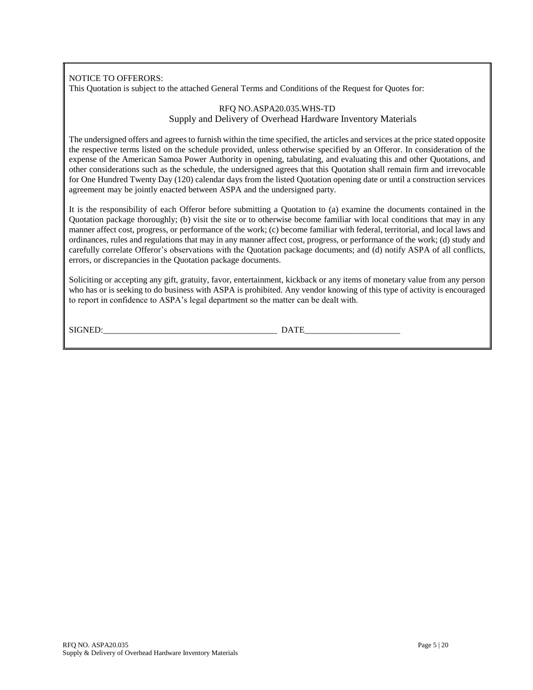### NOTICE TO OFFERORS:

This Quotation is subject to the attached General Terms and Conditions of the Request for Quotes for:

#### RFQ NO.ASPA20.035.WHS-TD Supply and Delivery of Overhead Hardware Inventory Materials

The undersigned offers and agrees to furnish within the time specified, the articles and services at the price stated opposite the respective terms listed on the schedule provided, unless otherwise specified by an Offeror. In consideration of the expense of the American Samoa Power Authority in opening, tabulating, and evaluating this and other Quotations, and other considerations such as the schedule, the undersigned agrees that this Quotation shall remain firm and irrevocable for One Hundred Twenty Day (120) calendar days from the listed Quotation opening date or until a construction services agreement may be jointly enacted between ASPA and the undersigned party.

It is the responsibility of each Offeror before submitting a Quotation to (a) examine the documents contained in the Quotation package thoroughly; (b) visit the site or to otherwise become familiar with local conditions that may in any manner affect cost, progress, or performance of the work; (c) become familiar with federal, territorial, and local laws and ordinances, rules and regulations that may in any manner affect cost, progress, or performance of the work; (d) study and carefully correlate Offeror's observations with the Quotation package documents; and (d) notify ASPA of all conflicts, errors, or discrepancies in the Quotation package documents.

Soliciting or accepting any gift, gratuity, favor, entertainment, kickback or any items of monetary value from any person who has or is seeking to do business with ASPA is prohibited. Any vendor knowing of this type of activity is encouraged to report in confidence to ASPA's legal department so the matter can be dealt with.

SIGNED:\_\_\_\_\_\_\_\_\_\_\_\_\_\_\_\_\_\_\_\_\_\_\_\_\_\_\_\_\_\_\_\_\_\_\_\_\_\_\_\_ DATE\_\_\_\_\_\_\_\_\_\_\_\_\_\_\_\_\_\_\_\_\_\_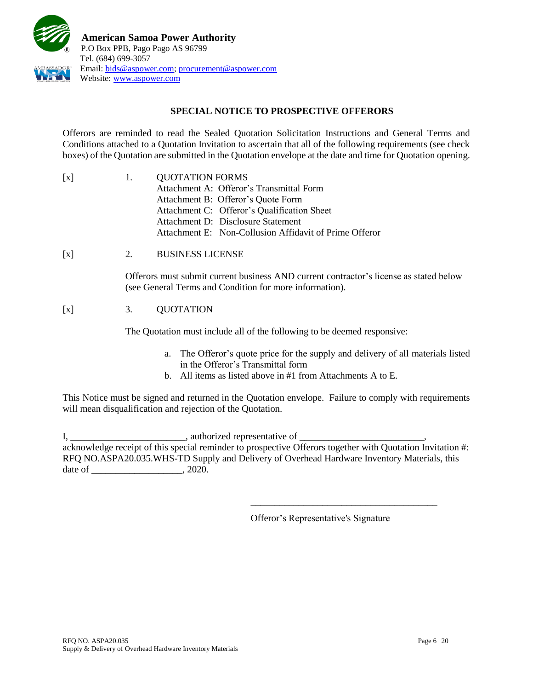

# **SPECIAL NOTICE TO PROSPECTIVE OFFERORS**

Offerors are reminded to read the Sealed Quotation Solicitation Instructions and General Terms and Conditions attached to a Quotation Invitation to ascertain that all of the following requirements (see check boxes) of the Quotation are submitted in the Quotation envelope at the date and time for Quotation opening.

| $\lceil x \rceil$ | $\mathbf{1}$ . | <b>QUOTATION FORMS</b>                                 |  |  |
|-------------------|----------------|--------------------------------------------------------|--|--|
|                   |                | Attachment A: Offeror's Transmittal Form               |  |  |
|                   |                | Attachment B: Offeror's Quote Form                     |  |  |
|                   |                | Attachment C: Offeror's Qualification Sheet            |  |  |
|                   |                | Attachment D: Disclosure Statement                     |  |  |
|                   |                | Attachment E: Non-Collusion Affidavit of Prime Offeror |  |  |

[x] 2. BUSINESS LICENSE

Offerors must submit current business AND current contractor's license as stated below (see General Terms and Condition for more information).

# [x] 3. QUOTATION

The Quotation must include all of the following to be deemed responsive:

- a. The Offeror's quote price for the supply and delivery of all materials listed in the Offeror's Transmittal form
- b. All items as listed above in #1 from Attachments A to E.

This Notice must be signed and returned in the Quotation envelope. Failure to comply with requirements will mean disqualification and rejection of the Quotation.

I, \_\_\_\_\_\_\_\_\_\_\_\_\_\_\_\_\_\_\_\_\_\_\_\_\_\_\_\_\_\_\_\_, authorized representative of \_\_\_\_\_\_\_\_\_\_\_\_\_\_ acknowledge receipt of this special reminder to prospective Offerors together with Quotation Invitation #: RFQ NO.ASPA20.035.WHS-TD Supply and Delivery of Overhead Hardware Inventory Materials, this date of \_\_\_\_\_\_\_\_\_\_\_\_\_\_\_\_\_\_\_\_\_\_\_, 2020.

Offeror's Representative's Signature

\_\_\_\_\_\_\_\_\_\_\_\_\_\_\_\_\_\_\_\_\_\_\_\_\_\_\_\_\_\_\_\_\_\_\_\_\_\_\_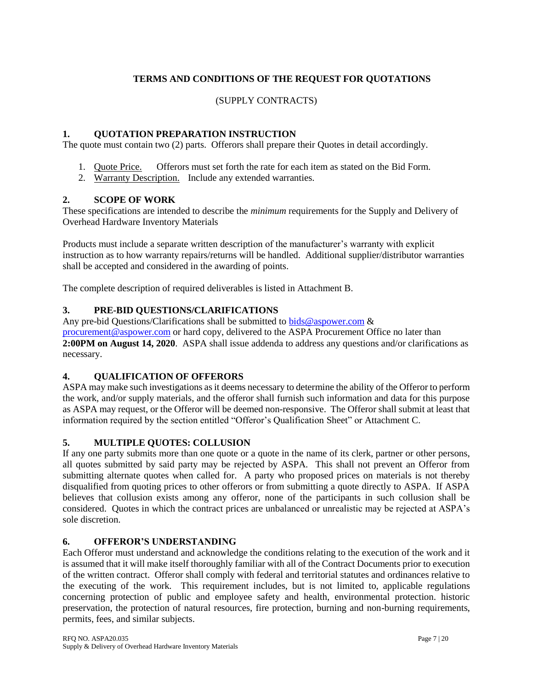# **TERMS AND CONDITIONS OF THE REQUEST FOR QUOTATIONS**

### (SUPPLY CONTRACTS)

### **1. QUOTATION PREPARATION INSTRUCTION**

The quote must contain two (2) parts. Offerors shall prepare their Quotes in detail accordingly.

- 1. Quote Price. Offerors must set forth the rate for each item as stated on the Bid Form.
- 2. Warranty Description. Include any extended warranties.

### **2. SCOPE OF WORK**

These specifications are intended to describe the *minimum* requirements for the Supply and Delivery of Overhead Hardware Inventory Materials

Products must include a separate written description of the manufacturer's warranty with explicit instruction as to how warranty repairs/returns will be handled. Additional supplier/distributor warranties shall be accepted and considered in the awarding of points.

The complete description of required deliverables is listed in Attachment B.

### **3. PRE-BID QUESTIONS/CLARIFICATIONS**

Any pre-bid Questions/Clarifications shall be submitted to [bids@aspower.com](mailto:bids@aspower.com)  $\&$ [procurement@aspower.com](mailto:procurement@aspower.com) or hard copy, delivered to the ASPA Procurement Office no later than **2:00PM on August 14, 2020**. ASPA shall issue addenda to address any questions and/or clarifications as necessary.

#### **4. QUALIFICATION OF OFFERORS**

ASPA may make such investigations as it deems necessary to determine the ability of the Offeror to perform the work, and/or supply materials, and the offeror shall furnish such information and data for this purpose as ASPA may request, or the Offeror will be deemed non-responsive. The Offeror shall submit at least that information required by the section entitled "Offeror's Qualification Sheet" or Attachment C.

#### **5. MULTIPLE QUOTES: COLLUSION**

If any one party submits more than one quote or a quote in the name of its clerk, partner or other persons, all quotes submitted by said party may be rejected by ASPA. This shall not prevent an Offeror from submitting alternate quotes when called for. A party who proposed prices on materials is not thereby disqualified from quoting prices to other offerors or from submitting a quote directly to ASPA. If ASPA believes that collusion exists among any offeror, none of the participants in such collusion shall be considered. Quotes in which the contract prices are unbalanced or unrealistic may be rejected at ASPA's sole discretion.

# **6. OFFEROR'S UNDERSTANDING**

Each Offeror must understand and acknowledge the conditions relating to the execution of the work and it is assumed that it will make itself thoroughly familiar with all of the Contract Documents prior to execution of the written contract. Offeror shall comply with federal and territorial statutes and ordinances relative to the executing of the work. This requirement includes, but is not limited to, applicable regulations concerning protection of public and employee safety and health, environmental protection. historic preservation, the protection of natural resources, fire protection, burning and non-burning requirements, permits, fees, and similar subjects.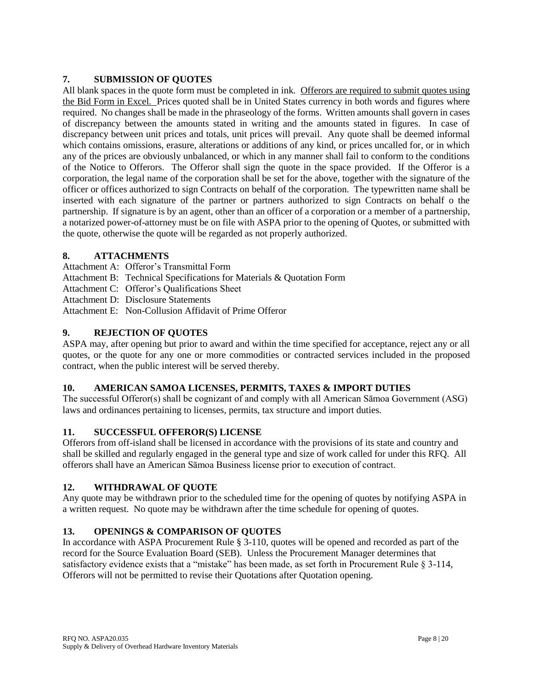# **7. SUBMISSION OF QUOTES**

All blank spaces in the quote form must be completed in ink. Offerors are required to submit quotes using the Bid Form in Excel. Prices quoted shall be in United States currency in both words and figures where required. No changes shall be made in the phraseology of the forms. Written amounts shall govern in cases of discrepancy between the amounts stated in writing and the amounts stated in figures. In case of discrepancy between unit prices and totals, unit prices will prevail. Any quote shall be deemed informal which contains omissions, erasure, alterations or additions of any kind, or prices uncalled for, or in which any of the prices are obviously unbalanced, or which in any manner shall fail to conform to the conditions of the Notice to Offerors. The Offeror shall sign the quote in the space provided. If the Offeror is a corporation, the legal name of the corporation shall be set for the above, together with the signature of the officer or offices authorized to sign Contracts on behalf of the corporation. The typewritten name shall be inserted with each signature of the partner or partners authorized to sign Contracts on behalf o the partnership. If signature is by an agent, other than an officer of a corporation or a member of a partnership, a notarized power-of-attorney must be on file with ASPA prior to the opening of Quotes, or submitted with the quote, otherwise the quote will be regarded as not properly authorized.

### **8. ATTACHMENTS**

- Attachment A: Offeror's Transmittal Form
- Attachment B: Technical Specifications for Materials & Quotation Form
- Attachment C: Offeror's Qualifications Sheet
- Attachment D: Disclosure Statements
- Attachment E: Non-Collusion Affidavit of Prime Offeror

# **9. REJECTION OF QUOTES**

ASPA may, after opening but prior to award and within the time specified for acceptance, reject any or all quotes, or the quote for any one or more commodities or contracted services included in the proposed contract, when the public interest will be served thereby.

# **10. AMERICAN SAMOA LICENSES, PERMITS, TAXES & IMPORT DUTIES**

The successful Offeror(s) shall be cognizant of and comply with all American Sāmoa Government (ASG) laws and ordinances pertaining to licenses, permits, tax structure and import duties.

# **11. SUCCESSFUL OFFEROR(S) LICENSE**

Offerors from off-island shall be licensed in accordance with the provisions of its state and country and shall be skilled and regularly engaged in the general type and size of work called for under this RFQ. All offerors shall have an American Sāmoa Business license prior to execution of contract.

# **12. WITHDRAWAL OF QUOTE**

Any quote may be withdrawn prior to the scheduled time for the opening of quotes by notifying ASPA in a written request. No quote may be withdrawn after the time schedule for opening of quotes.

# **13. OPENINGS & COMPARISON OF QUOTES**

In accordance with ASPA Procurement Rule § 3-110, quotes will be opened and recorded as part of the record for the Source Evaluation Board (SEB). Unless the Procurement Manager determines that satisfactory evidence exists that a "mistake" has been made, as set forth in Procurement Rule § 3-114, Offerors will not be permitted to revise their Quotations after Quotation opening.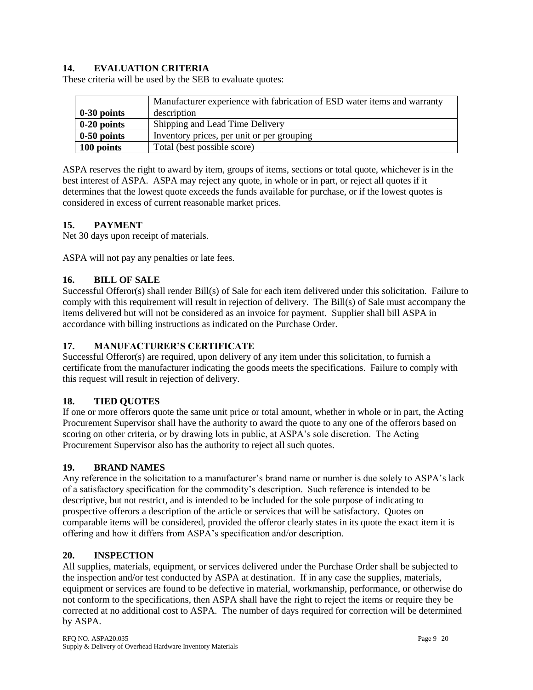# **14. EVALUATION CRITERIA**

These criteria will be used by the SEB to evaluate quotes:

|               | Manufacturer experience with fabrication of ESD water items and warranty |  |
|---------------|--------------------------------------------------------------------------|--|
| $0-30$ points | description                                                              |  |
| $0-20$ points | Shipping and Lead Time Delivery                                          |  |
| $0-50$ points | Inventory prices, per unit or per grouping                               |  |
| 100 points    | Total (best possible score)                                              |  |

ASPA reserves the right to award by item, groups of items, sections or total quote, whichever is in the best interest of ASPA. ASPA may reject any quote, in whole or in part, or reject all quotes if it determines that the lowest quote exceeds the funds available for purchase, or if the lowest quotes is considered in excess of current reasonable market prices.

### **15. PAYMENT**

Net 30 days upon receipt of materials.

ASPA will not pay any penalties or late fees.

### **16. BILL OF SALE**

Successful Offeror(s) shall render Bill(s) of Sale for each item delivered under this solicitation. Failure to comply with this requirement will result in rejection of delivery. The Bill(s) of Sale must accompany the items delivered but will not be considered as an invoice for payment. Supplier shall bill ASPA in accordance with billing instructions as indicated on the Purchase Order.

#### **17. MANUFACTURER'S CERTIFICATE**

Successful Offeror(s) are required, upon delivery of any item under this solicitation, to furnish a certificate from the manufacturer indicating the goods meets the specifications. Failure to comply with this request will result in rejection of delivery.

#### **18. TIED QUOTES**

If one or more offerors quote the same unit price or total amount, whether in whole or in part, the Acting Procurement Supervisor shall have the authority to award the quote to any one of the offerors based on scoring on other criteria, or by drawing lots in public, at ASPA's sole discretion. The Acting Procurement Supervisor also has the authority to reject all such quotes.

#### **19. BRAND NAMES**

Any reference in the solicitation to a manufacturer's brand name or number is due solely to ASPA's lack of a satisfactory specification for the commodity's description. Such reference is intended to be descriptive, but not restrict, and is intended to be included for the sole purpose of indicating to prospective offerors a description of the article or services that will be satisfactory. Quotes on comparable items will be considered, provided the offeror clearly states in its quote the exact item it is offering and how it differs from ASPA's specification and/or description.

#### **20. INSPECTION**

All supplies, materials, equipment, or services delivered under the Purchase Order shall be subjected to the inspection and/or test conducted by ASPA at destination. If in any case the supplies, materials, equipment or services are found to be defective in material, workmanship, performance, or otherwise do not conform to the specifications, then ASPA shall have the right to reject the items or require they be corrected at no additional cost to ASPA. The number of days required for correction will be determined by ASPA.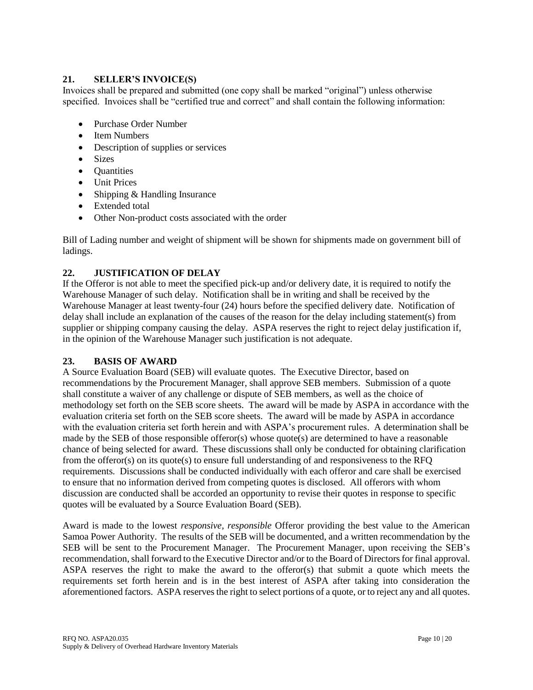### **21. SELLER'S INVOICE(S)**

Invoices shall be prepared and submitted (one copy shall be marked "original") unless otherwise specified. Invoices shall be "certified true and correct" and shall contain the following information:

- Purchase Order Number
- Item Numbers
- Description of supplies or services
- Sizes
- **Quantities**
- Unit Prices
- Shipping & Handling Insurance
- Extended total
- Other Non-product costs associated with the order

Bill of Lading number and weight of shipment will be shown for shipments made on government bill of ladings.

# **22. JUSTIFICATION OF DELAY**

If the Offeror is not able to meet the specified pick-up and/or delivery date, it is required to notify the Warehouse Manager of such delay. Notification shall be in writing and shall be received by the Warehouse Manager at least twenty-four (24) hours before the specified delivery date. Notification of delay shall include an explanation of the causes of the reason for the delay including statement(s) from supplier or shipping company causing the delay. ASPA reserves the right to reject delay justification if, in the opinion of the Warehouse Manager such justification is not adequate.

# **23. BASIS OF AWARD**

A Source Evaluation Board (SEB) will evaluate quotes. The Executive Director, based on recommendations by the Procurement Manager, shall approve SEB members. Submission of a quote shall constitute a waiver of any challenge or dispute of SEB members, as well as the choice of methodology set forth on the SEB score sheets. The award will be made by ASPA in accordance with the evaluation criteria set forth on the SEB score sheets. The award will be made by ASPA in accordance with the evaluation criteria set forth herein and with ASPA's procurement rules. A determination shall be made by the SEB of those responsible offeror(s) whose quote(s) are determined to have a reasonable chance of being selected for award. These discussions shall only be conducted for obtaining clarification from the offeror(s) on its quote(s) to ensure full understanding of and responsiveness to the RFQ requirements. Discussions shall be conducted individually with each offeror and care shall be exercised to ensure that no information derived from competing quotes is disclosed. All offerors with whom discussion are conducted shall be accorded an opportunity to revise their quotes in response to specific quotes will be evaluated by a Source Evaluation Board (SEB).

Award is made to the lowest *responsive, responsible* Offeror providing the best value to the American Samoa Power Authority. The results of the SEB will be documented, and a written recommendation by the SEB will be sent to the Procurement Manager. The Procurement Manager, upon receiving the SEB's recommendation, shall forward to the Executive Director and/or to the Board of Directors for final approval. ASPA reserves the right to make the award to the offeror(s) that submit a quote which meets the requirements set forth herein and is in the best interest of ASPA after taking into consideration the aforementioned factors. ASPA reserves the right to select portions of a quote, or to reject any and all quotes.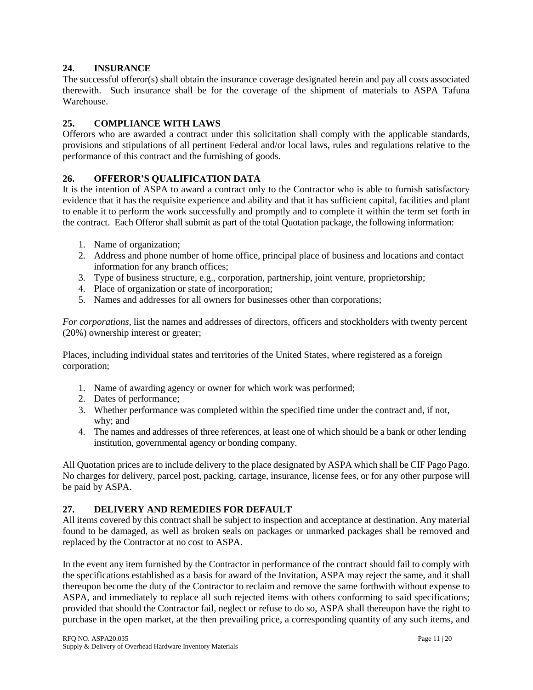### **24. INSURANCE**

The successful offeror(s) shall obtain the insurance coverage designated herein and pay all costs associated therewith. Such insurance shall be for the coverage of the shipment of materials to ASPA Tafuna Warehouse.

### **25. COMPLIANCE WITH LAWS**

Offerors who are awarded a contract under this solicitation shall comply with the applicable standards, provisions and stipulations of all pertinent Federal and/or local laws, rules and regulations relative to the performance of this contract and the furnishing of goods.

### **26. OFFEROR'S QUALIFICATION DATA**

It is the intention of ASPA to award a contract only to the Contractor who is able to furnish satisfactory evidence that it has the requisite experience and ability and that it has sufficient capital, facilities and plant to enable it to perform the work successfully and promptly and to complete it within the term set forth in the contract. Each Offeror shall submit as part of the total Quotation package, the following information:

- 1. Name of organization;
- 2. Address and phone number of home office, principal place of business and locations and contact information for any branch offices;
- 3. Type of business structure, e.g., corporation, partnership, joint venture, proprietorship;
- 4. Place of organization or state of incorporation;
- 5. Names and addresses for all owners for businesses other than corporations;

*For corporations,* list the names and addresses of directors, officers and stockholders with twenty percent (20%) ownership interest or greater;

Places, including individual states and territories of the United States, where registered as a foreign corporation;

- 1. Name of awarding agency or owner for which work was performed;
- 2. Dates of performance;
- 3. Whether performance was completed within the specified time under the contract and, if not, why; and
- 4. The names and addresses of three references, at least one of which should be a bank or other lending institution, governmental agency or bonding company.

All Quotation prices are to include delivery to the place designated by ASPA which shall be CIF Pago Pago. No charges for delivery, parcel post, packing, cartage, insurance, license fees, or for any other purpose will be paid by ASPA.

#### **27. DELIVERY AND REMEDIES FOR DEFAULT**

All items covered by this contract shall be subject to inspection and acceptance at destination. Any material found to be damaged, as well as broken seals on packages or unmarked packages shall be removed and replaced by the Contractor at no cost to ASPA.

In the event any item furnished by the Contractor in performance of the contract should fail to comply with the specifications established as a basis for award of the Invitation, ASPA may reject the same, and it shall thereupon become the duty of the Contractor to reclaim and remove the same forthwith without expense to ASPA, and immediately to replace all such rejected items with others conforming to said specifications; provided that should the Contractor fail, neglect or refuse to do so, ASPA shall thereupon have the right to purchase in the open market, at the then prevailing price, a corresponding quantity of any such items, and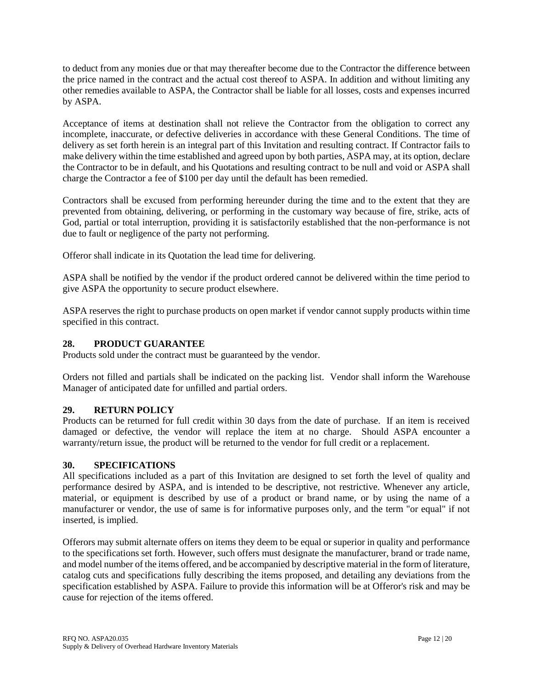to deduct from any monies due or that may thereafter become due to the Contractor the difference between the price named in the contract and the actual cost thereof to ASPA. In addition and without limiting any other remedies available to ASPA, the Contractor shall be liable for all losses, costs and expenses incurred by ASPA.

Acceptance of items at destination shall not relieve the Contractor from the obligation to correct any incomplete, inaccurate, or defective deliveries in accordance with these General Conditions. The time of delivery as set forth herein is an integral part of this Invitation and resulting contract. If Contractor fails to make delivery within the time established and agreed upon by both parties, ASPA may, at its option, declare the Contractor to be in default, and his Quotations and resulting contract to be null and void or ASPA shall charge the Contractor a fee of \$100 per day until the default has been remedied.

Contractors shall be excused from performing hereunder during the time and to the extent that they are prevented from obtaining, delivering, or performing in the customary way because of fire, strike, acts of God, partial or total interruption, providing it is satisfactorily established that the non-performance is not due to fault or negligence of the party not performing.

Offeror shall indicate in its Quotation the lead time for delivering.

ASPA shall be notified by the vendor if the product ordered cannot be delivered within the time period to give ASPA the opportunity to secure product elsewhere.

ASPA reserves the right to purchase products on open market if vendor cannot supply products within time specified in this contract.

### **28. PRODUCT GUARANTEE**

Products sold under the contract must be guaranteed by the vendor.

Orders not filled and partials shall be indicated on the packing list. Vendor shall inform the Warehouse Manager of anticipated date for unfilled and partial orders.

# **29. RETURN POLICY**

Products can be returned for full credit within 30 days from the date of purchase. If an item is received damaged or defective, the vendor will replace the item at no charge. Should ASPA encounter a warranty/return issue, the product will be returned to the vendor for full credit or a replacement.

#### **30. SPECIFICATIONS**

All specifications included as a part of this Invitation are designed to set forth the level of quality and performance desired by ASPA, and is intended to be descriptive, not restrictive. Whenever any article, material, or equipment is described by use of a product or brand name, or by using the name of a manufacturer or vendor, the use of same is for informative purposes only, and the term "or equal" if not inserted, is implied.

Offerors may submit alternate offers on items they deem to be equal or superior in quality and performance to the specifications set forth. However, such offers must designate the manufacturer, brand or trade name, and model number of the items offered, and be accompanied by descriptive material in the form of literature, catalog cuts and specifications fully describing the items proposed, and detailing any deviations from the specification established by ASPA. Failure to provide this information will be at Offeror's risk and may be cause for rejection of the items offered.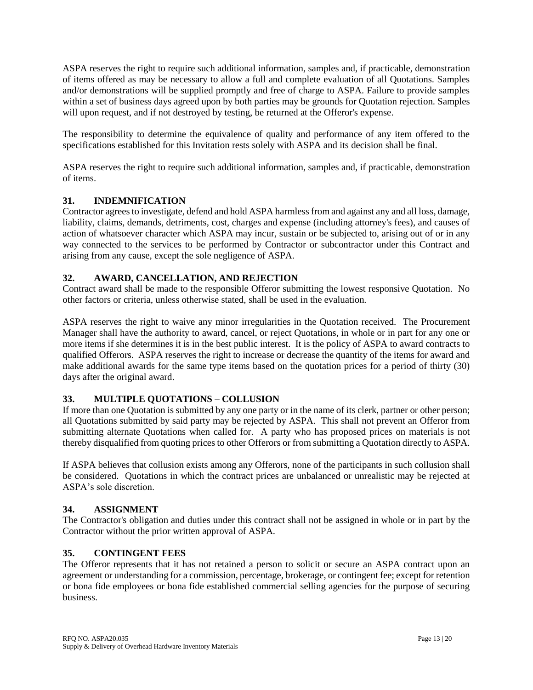ASPA reserves the right to require such additional information, samples and, if practicable, demonstration of items offered as may be necessary to allow a full and complete evaluation of all Quotations. Samples and/or demonstrations will be supplied promptly and free of charge to ASPA. Failure to provide samples within a set of business days agreed upon by both parties may be grounds for Quotation rejection. Samples will upon request, and if not destroyed by testing, be returned at the Offeror's expense.

The responsibility to determine the equivalence of quality and performance of any item offered to the specifications established for this Invitation rests solely with ASPA and its decision shall be final.

ASPA reserves the right to require such additional information, samples and, if practicable, demonstration of items.

# **31. INDEMNIFICATION**

Contractor agrees to investigate, defend and hold ASPA harmless from and against any and all loss, damage, liability, claims, demands, detriments, cost, charges and expense (including attorney's fees), and causes of action of whatsoever character which ASPA may incur, sustain or be subjected to, arising out of or in any way connected to the services to be performed by Contractor or subcontractor under this Contract and arising from any cause, except the sole negligence of ASPA.

# **32. AWARD, CANCELLATION, AND REJECTION**

Contract award shall be made to the responsible Offeror submitting the lowest responsive Quotation. No other factors or criteria, unless otherwise stated, shall be used in the evaluation.

ASPA reserves the right to waive any minor irregularities in the Quotation received. The Procurement Manager shall have the authority to award, cancel, or reject Quotations, in whole or in part for any one or more items if she determines it is in the best public interest. It is the policy of ASPA to award contracts to qualified Offerors. ASPA reserves the right to increase or decrease the quantity of the items for award and make additional awards for the same type items based on the quotation prices for a period of thirty (30) days after the original award.

# **33. MULTIPLE QUOTATIONS – COLLUSION**

If more than one Quotation is submitted by any one party or in the name of its clerk, partner or other person; all Quotations submitted by said party may be rejected by ASPA. This shall not prevent an Offeror from submitting alternate Quotations when called for. A party who has proposed prices on materials is not thereby disqualified from quoting prices to other Offerors or from submitting a Quotation directly to ASPA.

If ASPA believes that collusion exists among any Offerors, none of the participants in such collusion shall be considered. Quotations in which the contract prices are unbalanced or unrealistic may be rejected at ASPA's sole discretion.

# **34. ASSIGNMENT**

The Contractor's obligation and duties under this contract shall not be assigned in whole or in part by the Contractor without the prior written approval of ASPA.

# **35. CONTINGENT FEES**

The Offeror represents that it has not retained a person to solicit or secure an ASPA contract upon an agreement or understanding for a commission, percentage, brokerage, or contingent fee; except for retention or bona fide employees or bona fide established commercial selling agencies for the purpose of securing business.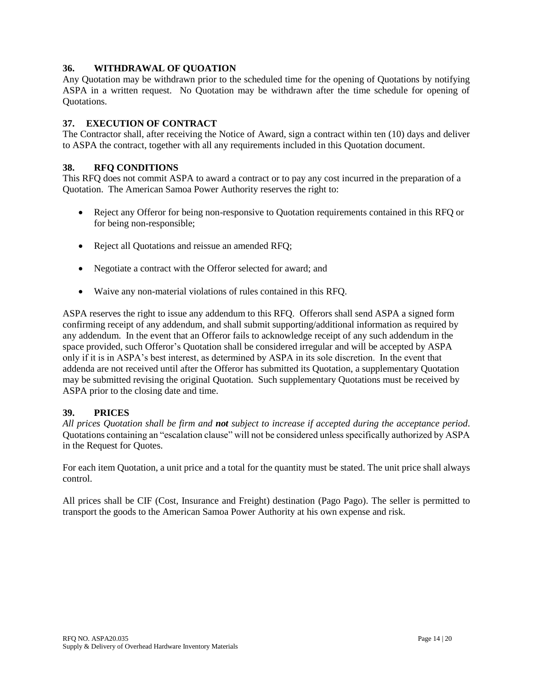### **36. WITHDRAWAL OF QUOATION**

Any Quotation may be withdrawn prior to the scheduled time for the opening of Quotations by notifying ASPA in a written request. No Quotation may be withdrawn after the time schedule for opening of Quotations.

### **37. EXECUTION OF CONTRACT**

The Contractor shall, after receiving the Notice of Award, sign a contract within ten (10) days and deliver to ASPA the contract, together with all any requirements included in this Quotation document.

### **38. RFQ CONDITIONS**

This RFQ does not commit ASPA to award a contract or to pay any cost incurred in the preparation of a Quotation. The American Samoa Power Authority reserves the right to:

- Reject any Offeror for being non-responsive to Quotation requirements contained in this RFQ or for being non-responsible;
- Reject all Quotations and reissue an amended RFQ;
- Negotiate a contract with the Offeror selected for award; and
- Waive any non-material violations of rules contained in this RFQ.

ASPA reserves the right to issue any addendum to this RFQ. Offerors shall send ASPA a signed form confirming receipt of any addendum, and shall submit supporting/additional information as required by any addendum. In the event that an Offeror fails to acknowledge receipt of any such addendum in the space provided, such Offeror's Quotation shall be considered irregular and will be accepted by ASPA only if it is in ASPA's best interest, as determined by ASPA in its sole discretion. In the event that addenda are not received until after the Offeror has submitted its Quotation, a supplementary Quotation may be submitted revising the original Quotation. Such supplementary Quotations must be received by ASPA prior to the closing date and time.

#### **39. PRICES**

*All prices Quotation shall be firm and not subject to increase if accepted during the acceptance period*. Quotations containing an "escalation clause" will not be considered unless specifically authorized by ASPA in the Request for Quotes.

For each item Quotation, a unit price and a total for the quantity must be stated. The unit price shall always control.

All prices shall be CIF (Cost, Insurance and Freight) destination (Pago Pago). The seller is permitted to transport the goods to the American Samoa Power Authority at his own expense and risk.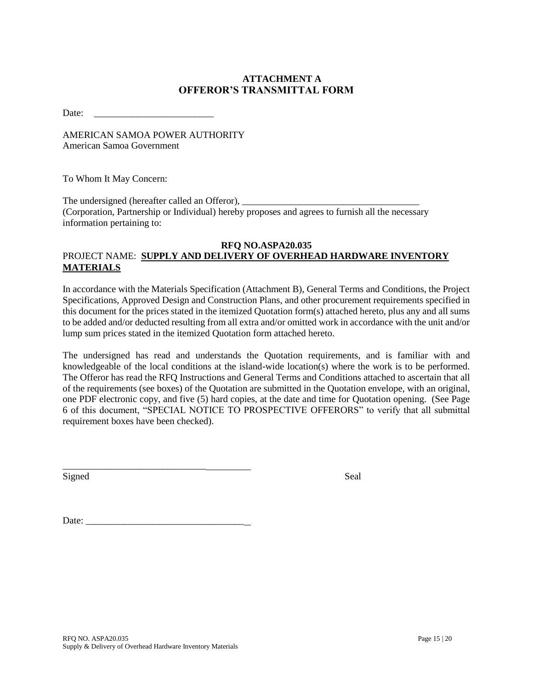# **ATTACHMENT A OFFEROR'S TRANSMITTAL FORM**

Date:

AMERICAN SAMOA POWER AUTHORITY American Samoa Government

To Whom It May Concern:

The undersigned (hereafter called an Offeror), (Corporation, Partnership or Individual) hereby proposes and agrees to furnish all the necessary information pertaining to:

#### **RFQ NO.ASPA20.035** PROJECT NAME: **SUPPLY AND DELIVERY OF OVERHEAD HARDWARE INVENTORY MATERIALS**

In accordance with the Materials Specification (Attachment B), General Terms and Conditions, the Project Specifications, Approved Design and Construction Plans, and other procurement requirements specified in this document for the prices stated in the itemized Quotation form(s) attached hereto, plus any and all sums to be added and/or deducted resulting from all extra and/or omitted work in accordance with the unit and/or lump sum prices stated in the itemized Quotation form attached hereto.

The undersigned has read and understands the Quotation requirements, and is familiar with and knowledgeable of the local conditions at the island-wide location(s) where the work is to be performed. The Offeror has read the RFQ Instructions and General Terms and Conditions attached to ascertain that all of the requirements (see boxes) of the Quotation are submitted in the Quotation envelope, with an original, one PDF electronic copy, and five (5) hard copies, at the date and time for Quotation opening. (See Page 6 of this document, "SPECIAL NOTICE TO PROSPECTIVE OFFERORS" to verify that all submittal requirement boxes have been checked).

Signed Seal

Date:

\_\_\_\_\_\_\_\_\_\_\_\_\_\_\_\_\_\_\_\_\_\_\_\_\_\_\_\_\_\_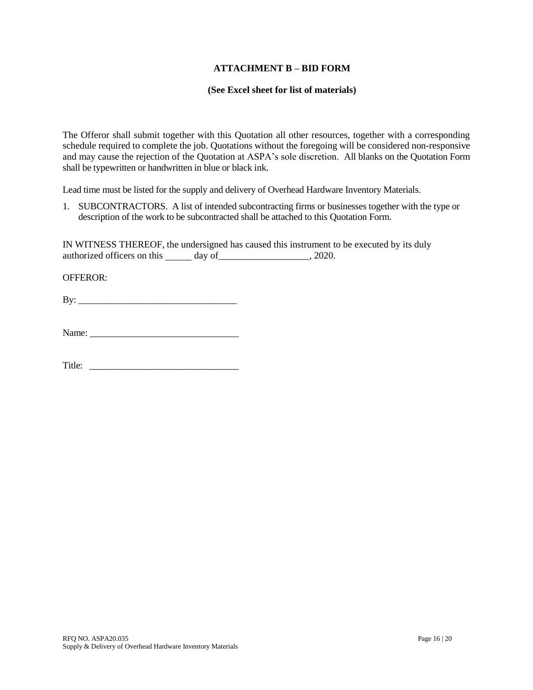#### **ATTACHMENT B – BID FORM**

#### **(See Excel sheet for list of materials)**

The Offeror shall submit together with this Quotation all other resources, together with a corresponding schedule required to complete the job. Quotations without the foregoing will be considered non-responsive and may cause the rejection of the Quotation at ASPA's sole discretion. All blanks on the Quotation Form shall be typewritten or handwritten in blue or black ink.

Lead time must be listed for the supply and delivery of Overhead Hardware Inventory Materials.

1. SUBCONTRACTORS. A list of intended subcontracting firms or businesses together with the type or description of the work to be subcontracted shall be attached to this Quotation Form.

IN WITNESS THEREOF, the undersigned has caused this instrument to be executed by its duly authorized officers on this day of \_\_\_\_\_\_\_\_\_\_\_\_\_\_\_\_\_\_\_\_, 2020.

OFFEROR:

 $\mathbf{B} \mathbf{y}$ :

Title: \_\_\_\_\_\_\_\_\_\_\_\_\_\_\_\_\_\_\_\_\_\_\_\_\_\_\_\_\_\_\_\_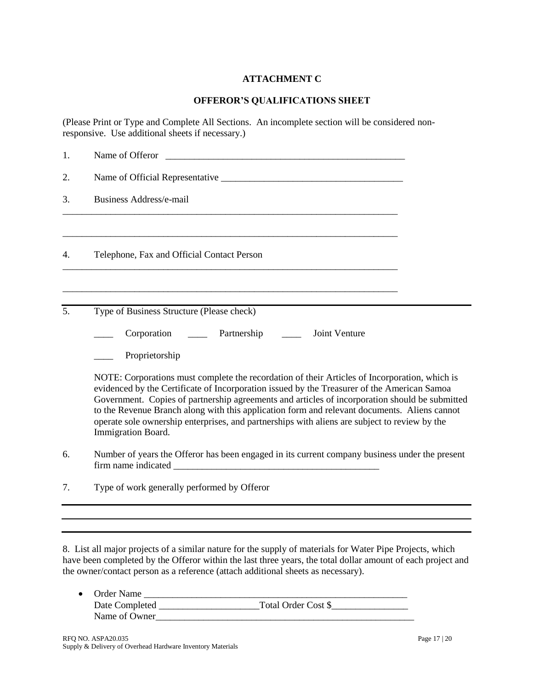# **ATTACHMENT C**

### **OFFEROR'S QUALIFICATIONS SHEET**

(Please Print or Type and Complete All Sections. An incomplete section will be considered nonresponsive. Use additional sheets if necessary.)

| 2.<br><b>Business Address/e-mail</b><br>3.<br>Telephone, Fax and Official Contact Person<br>4.                                                                                                                                                                                                                                                                                                                                                                                                                        |                                                                                                |  |  |
|-----------------------------------------------------------------------------------------------------------------------------------------------------------------------------------------------------------------------------------------------------------------------------------------------------------------------------------------------------------------------------------------------------------------------------------------------------------------------------------------------------------------------|------------------------------------------------------------------------------------------------|--|--|
|                                                                                                                                                                                                                                                                                                                                                                                                                                                                                                                       |                                                                                                |  |  |
|                                                                                                                                                                                                                                                                                                                                                                                                                                                                                                                       |                                                                                                |  |  |
|                                                                                                                                                                                                                                                                                                                                                                                                                                                                                                                       |                                                                                                |  |  |
| Type of Business Structure (Please check)<br>5.                                                                                                                                                                                                                                                                                                                                                                                                                                                                       |                                                                                                |  |  |
| Partnership<br>Joint Venture<br>Corporation                                                                                                                                                                                                                                                                                                                                                                                                                                                                           |                                                                                                |  |  |
| Proprietorship                                                                                                                                                                                                                                                                                                                                                                                                                                                                                                        |                                                                                                |  |  |
| NOTE: Corporations must complete the recordation of their Articles of Incorporation, which is<br>evidenced by the Certificate of Incorporation issued by the Treasurer of the American Samoa<br>Government. Copies of partnership agreements and articles of incorporation should be submitted<br>to the Revenue Branch along with this application form and relevant documents. Aliens cannot<br>operate sole ownership enterprises, and partnerships with aliens are subject to review by the<br>Immigration Board. |                                                                                                |  |  |
| 6.                                                                                                                                                                                                                                                                                                                                                                                                                                                                                                                    | Number of years the Offeror has been engaged in its current company business under the present |  |  |
| 7.<br>Type of work generally performed by Offeror                                                                                                                                                                                                                                                                                                                                                                                                                                                                     |                                                                                                |  |  |
|                                                                                                                                                                                                                                                                                                                                                                                                                                                                                                                       |                                                                                                |  |  |
|                                                                                                                                                                                                                                                                                                                                                                                                                                                                                                                       |                                                                                                |  |  |

8. List all major projects of a similar nature for the supply of materials for Water Pipe Projects, which have been completed by the Offeror within the last three years, the total dollar amount of each project and the owner/contact person as a reference (attach additional sheets as necessary).

| • Order Name   |                     |
|----------------|---------------------|
| Date Completed | Total Order Cost \$ |
| Name of Owner  |                     |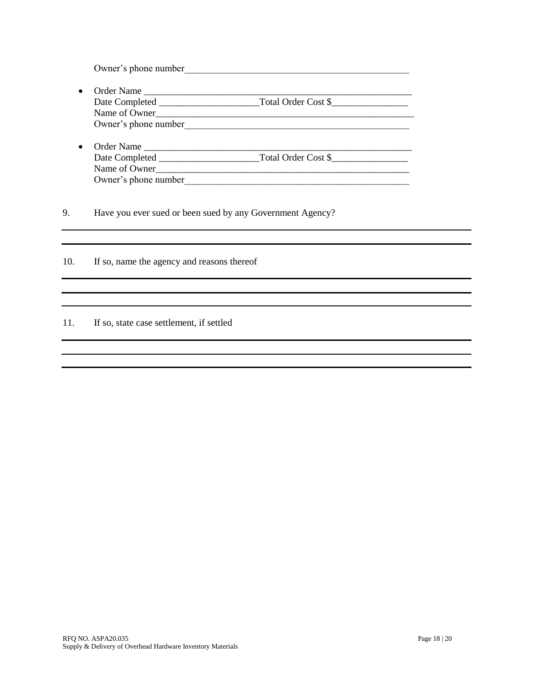Owner's phone number

- Order Name \_\_\_\_\_\_\_\_\_\_\_\_\_\_\_\_\_\_\_\_\_\_\_\_\_\_\_\_\_\_\_\_\_\_\_\_\_\_\_\_\_\_\_\_\_\_\_\_\_\_\_\_\_\_\_\_ Date Completed \_\_\_\_\_\_\_\_\_\_\_\_\_\_\_\_\_\_\_\_\_Total Order Cost \$\_\_\_\_\_\_\_\_\_\_\_\_\_\_\_\_ Name of Owner\_\_\_\_\_\_\_\_\_\_\_\_\_\_\_\_\_\_\_\_\_\_\_\_\_\_\_\_\_\_\_\_\_\_\_\_\_\_\_\_\_\_\_\_\_\_\_\_\_\_\_\_\_\_ Owner's phone number\_\_\_\_\_\_\_\_\_\_\_\_\_\_\_\_\_\_\_\_\_\_\_\_\_\_\_\_\_\_\_\_\_\_\_\_\_\_\_\_\_\_\_\_\_\_\_
- Order Name \_\_\_\_\_\_\_\_\_\_\_\_\_\_\_\_\_\_\_\_\_\_\_\_\_\_\_\_\_\_\_\_\_\_\_\_\_\_\_\_\_\_\_\_\_\_\_\_\_\_\_\_\_\_\_\_ Date Completed \_\_\_\_\_\_\_\_\_\_\_\_\_\_\_\_\_\_\_\_\_Total Order Cost \$\_\_\_\_\_\_\_\_\_\_\_\_\_\_\_\_ Name of Owner\_\_\_\_\_\_\_\_\_\_\_\_\_\_\_\_\_\_\_\_\_\_\_\_\_\_\_\_\_\_\_\_\_\_\_\_\_\_\_\_\_\_\_\_\_\_\_\_\_\_\_\_\_ Owner's phone number

9. Have you ever sued or been sued by any Government Agency?

10. If so, name the agency and reasons thereof

#### 11. If so, state case settlement, if settled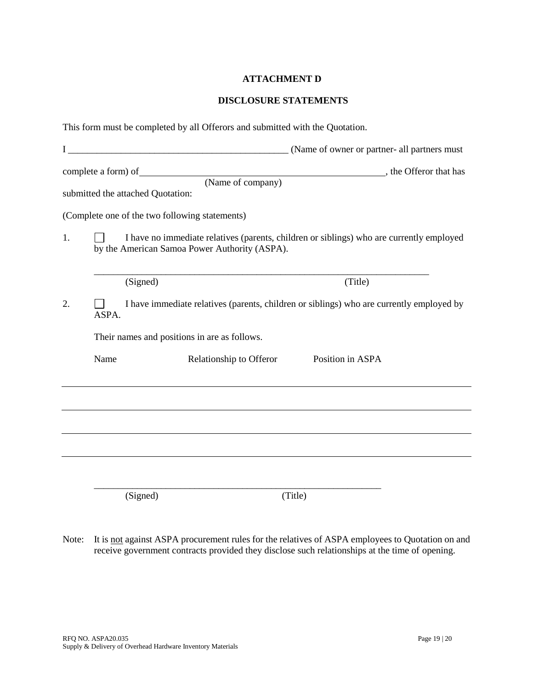# **ATTACHMENT D**

### **DISCLOSURE STATEMENTS**

|    |       | This form must be completed by all Offerors and submitted with the Quotation.                                                                                                               |                                          |  |
|----|-------|---------------------------------------------------------------------------------------------------------------------------------------------------------------------------------------------|------------------------------------------|--|
|    |       |                                                                                                                                                                                             |                                          |  |
|    |       | submitted the attached Quotation:                                                                                                                                                           | (Name of company) , the Offeror that has |  |
| 1. |       | (Complete one of the two following statements)<br>I have no immediate relatives (parents, children or siblings) who are currently employed<br>by the American Samoa Power Authority (ASPA). |                                          |  |
|    |       | (Signed)                                                                                                                                                                                    | (Title)                                  |  |
| 2. | ASPA. | I have immediate relatives (parents, children or siblings) who are currently employed by                                                                                                    |                                          |  |
|    |       | Their names and positions in are as follows.                                                                                                                                                |                                          |  |
|    | Name  | Relationship to Offeror                                                                                                                                                                     | Position in ASPA                         |  |
|    |       |                                                                                                                                                                                             |                                          |  |
|    |       |                                                                                                                                                                                             |                                          |  |
|    |       | (Signed)                                                                                                                                                                                    | (Title)                                  |  |
|    |       |                                                                                                                                                                                             |                                          |  |

Note: It is not against ASPA procurement rules for the relatives of ASPA employees to Quotation on and receive government contracts provided they disclose such relationships at the time of opening.